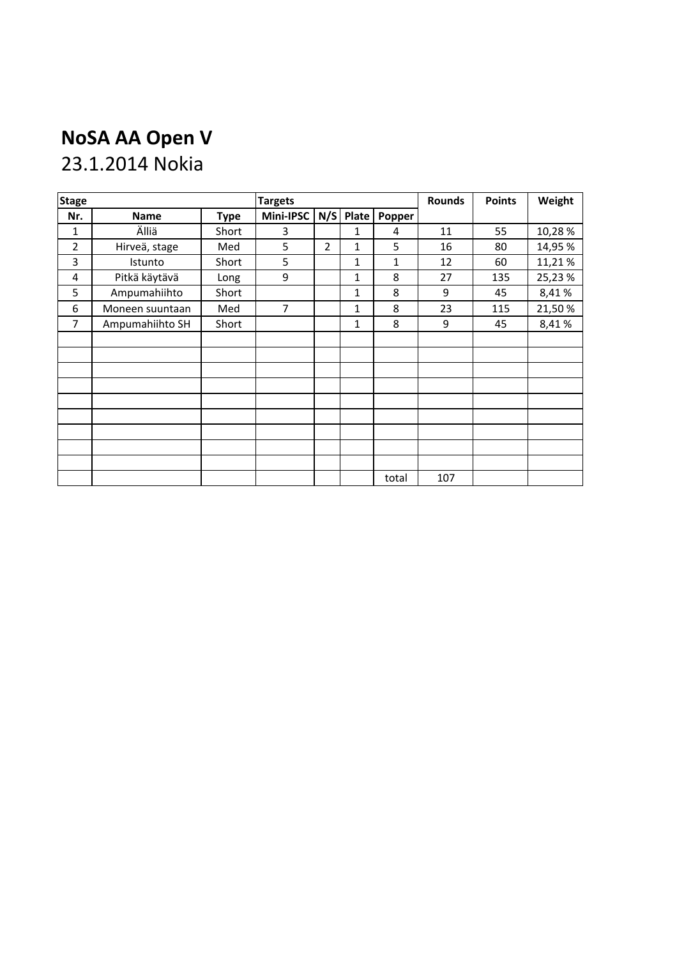## **NoSA AA Open V**

## 23.1.2014 Nokia

| <b>Stage</b>   |                 | <b>Targets</b> |                |     |              | <b>Rounds</b> | <b>Points</b> | Weight |         |
|----------------|-----------------|----------------|----------------|-----|--------------|---------------|---------------|--------|---------|
| Nr.            | <b>Name</b>     | <b>Type</b>    | Mini-IPSC      | N/S | Plate        | Popper        |               |        |         |
| 1              | Älliä           | Short          | 3              |     | 1            | 4             | 11            | 55     | 10,28%  |
| $\overline{2}$ | Hirveä, stage   | Med            | 5              | 2   | 1            | 5             | 16            | 80     | 14,95 % |
| 3              | Istunto         | Short          | 5              |     | $\mathbf{1}$ | 1             | 12            | 60     | 11,21%  |
| 4              | Pitkä käytävä   | Long           | 9              |     | $\mathbf{1}$ | 8             | 27            | 135    | 25,23 % |
| 5              | Ampumahiihto    | Short          |                |     | $1\,$        | 8             | 9             | 45     | 8,41%   |
| 6              | Moneen suuntaan | Med            | $\overline{7}$ |     | $\mathbf{1}$ | 8             | 23            | 115    | 21,50%  |
| 7              | Ampumahiihto SH | Short          |                |     | 1            | 8             | 9             | 45     | 8,41%   |
|                |                 |                |                |     |              |               |               |        |         |
|                |                 |                |                |     |              |               |               |        |         |
|                |                 |                |                |     |              |               |               |        |         |
|                |                 |                |                |     |              |               |               |        |         |
|                |                 |                |                |     |              |               |               |        |         |
|                |                 |                |                |     |              |               |               |        |         |
|                |                 |                |                |     |              |               |               |        |         |
|                |                 |                |                |     |              |               |               |        |         |
|                |                 |                |                |     |              |               |               |        |         |
|                |                 |                |                |     |              | total         | 107           |        |         |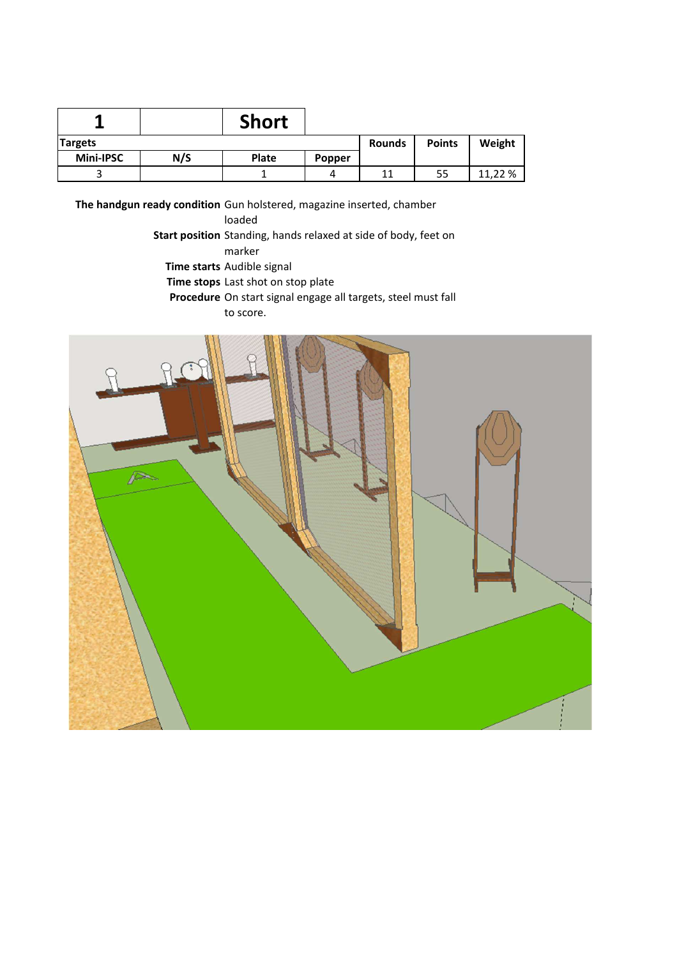| A                |     | <b>Short</b> |               |               |        |         |
|------------------|-----|--------------|---------------|---------------|--------|---------|
| <b>Targets</b>   |     |              | <b>Rounds</b> | <b>Points</b> | Weight |         |
| <b>Mini-IPSC</b> | N/S | <b>Plate</b> | Popper        |               |        |         |
|                  |     |              | 4             |               | 55     | 11.22 % |

loaded

Start position Standing, hands relaxed at side of body, feet on **Time starts** Audible signal marker

**Time stops** Last shot on stop plate

**Procedure** On start signal engage all targets, steel must fall

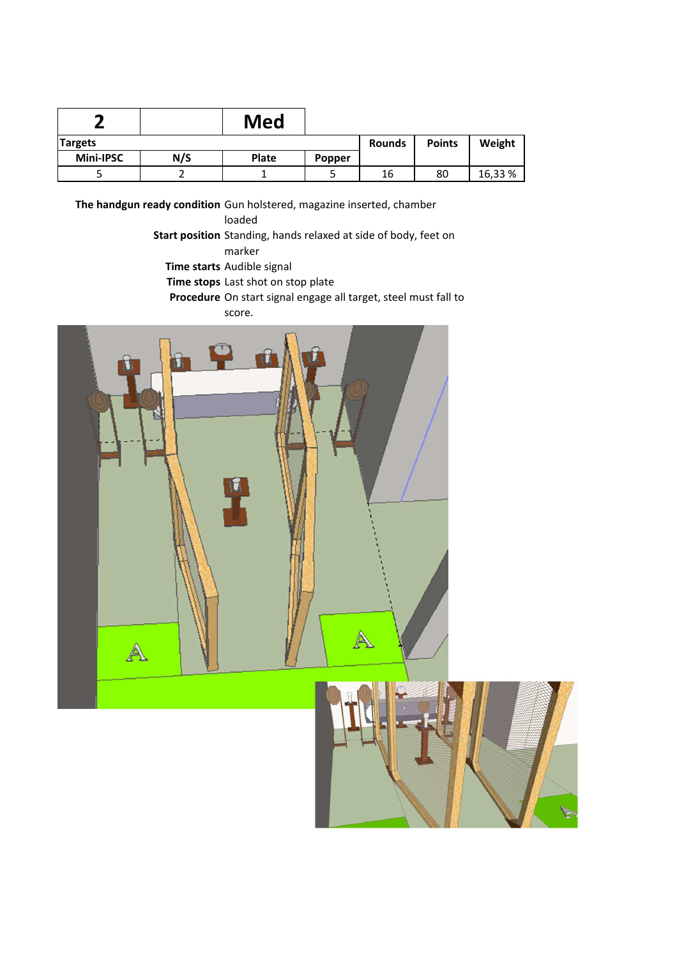| ÷              |     | Med          |        |               |               |         |
|----------------|-----|--------------|--------|---------------|---------------|---------|
| <b>Targets</b> |     |              |        | <b>Rounds</b> | <b>Points</b> | Weight  |
| Mini-IPSC      | N/S | <b>Plate</b> | Popper |               |               |         |
|                |     |              |        | 16            | 80            | 16,33 % |

loaded

Start position Standing, hands relaxed at side of body, feet on marker

**Time starts** Audible signal

**Time stops** Last shot on stop plate

**Procedure** On start signal engage all target, steel must fall to score.

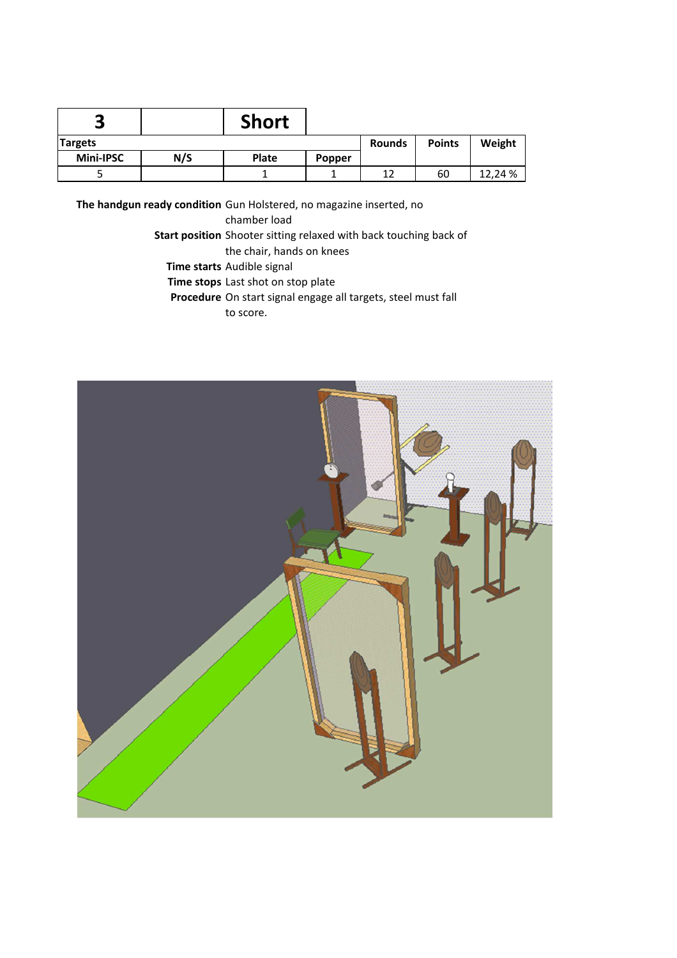| о                |     | <b>Short</b> |        |               |               |         |
|------------------|-----|--------------|--------|---------------|---------------|---------|
| <b>Targets</b>   |     |              |        | <b>Rounds</b> | <b>Points</b> | Weight  |
| <b>Mini-IPSC</b> | N/S | <b>Plate</b> | Popper |               |               |         |
|                  |     |              |        | 12            | 60            | 12.24 % |

**The handgun ready condition** Gun Holstered, no magazine inserted, no

chamber load

Start position Shooter sitting relaxed with back touching back of the chair, hands on knees

**Time starts** Audible signal

**Time stops** Last shot on stop plate

**Procedure** On start signal engage all targets, steel must fall

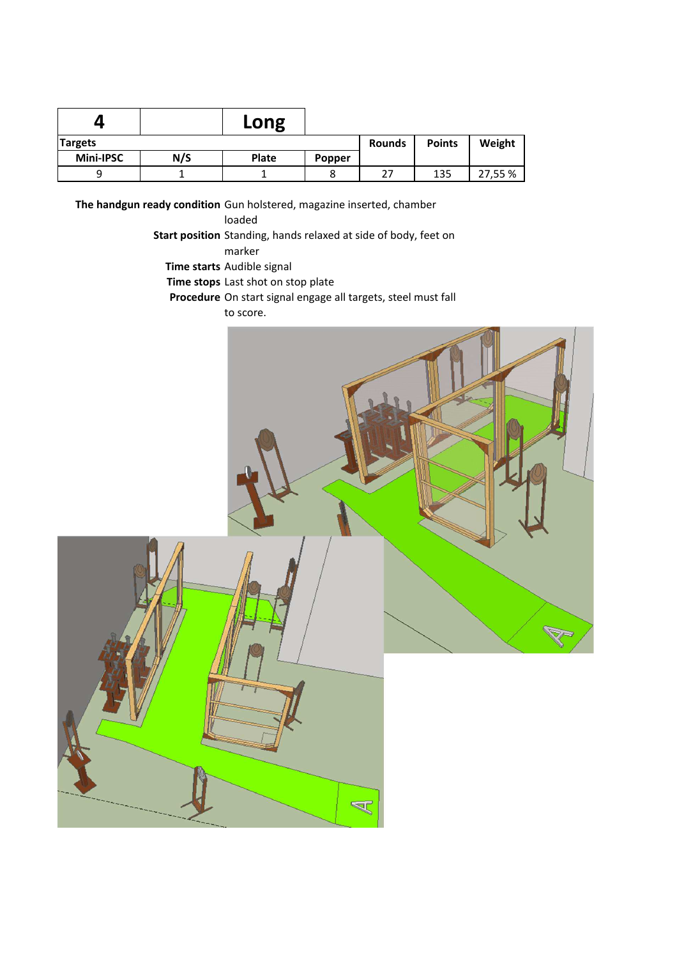|                |     | Long          |               |        |     |         |
|----------------|-----|---------------|---------------|--------|-----|---------|
| <b>Targets</b> |     | <b>Rounds</b> | <b>Points</b> | Weight |     |         |
| Mini-IPSC      | N/S | Plate         | Popper        |        |     |         |
| a              |     |               | ٥             | 27     | 135 | 27,55 % |

loaded

Start position Standing, hands relaxed at side of body, feet on marker

**Time starts** Audible signal

**Time stops** Last shot on stop plate

**Procedure** On start signal engage all targets, steel must fall

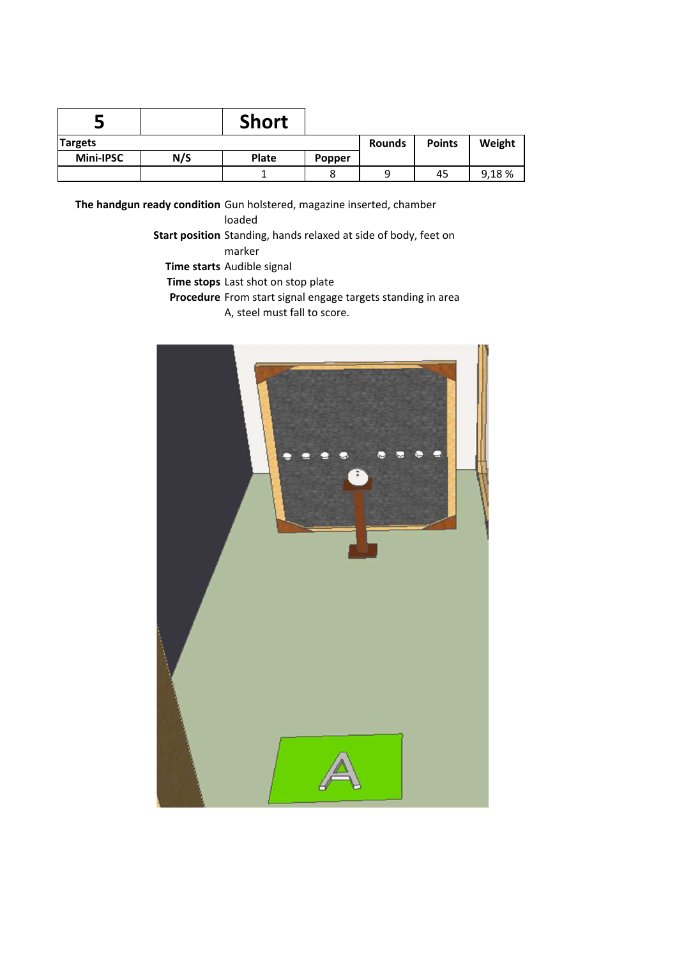| Ξ              |     | <b>Short</b> |        |               |               |        |
|----------------|-----|--------------|--------|---------------|---------------|--------|
| <b>Targets</b> |     |              |        | <b>Rounds</b> | <b>Points</b> | Weight |
| Mini-IPSC      | N/S | <b>Plate</b> | Popper |               |               |        |
|                |     |              |        |               | 45            | 9,18%  |

loaded

Start position Standing, hands relaxed at side of body, feet on marker

**Time starts** Audible signal

**Time stops** Last shot on stop plate

Procedure From start signal engage targets standing in area

A, steel must fall to score.